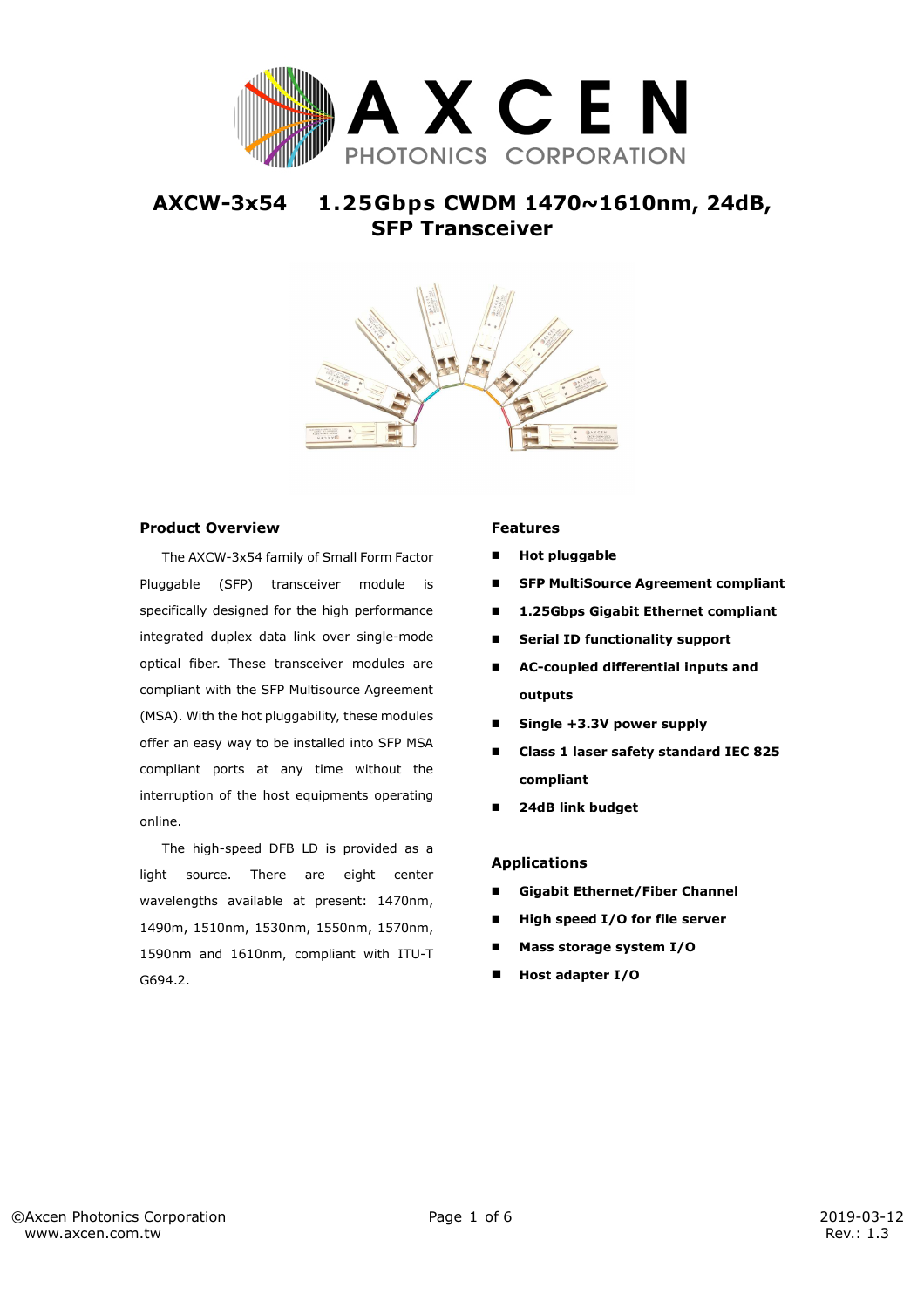

# **AXCW-3x54 1.25Gbps CWDM 1470~1610nm, 24dB, SFP Transceiver**



### **Product Overview**

The AXCW-3x54 family of Small Form Factor Pluggable (SFP) transceiver module is specifically designed for the high performance integrated duplex data link over single-mode optical fiber. These transceiver modules are compliant with the SFP Multisource Agreement (MSA). With the hot pluggability, these modules offer an easy way to be installed into SFP MSA compliant ports at any time without the interruption of the host equipments operating online.

The high-speed DFB LD is provided as a light source. There are eight center wavelengths available at present: 1470nm, 1490m, 1510nm, 1530nm, 1550nm, 1570nm, 1590nm and 1610nm, compliant with ITU-T G694.2.

### **Features**

- **Hot pluggable**
- **SFP MultiSource Agreement compliant**
- **1.25Gbps Gigabit Ethernet compliant**
- **Serial ID functionality support**
- **AC-coupled differential inputs and outputs**
- **Single +3.3V power supply**
- **Class 1 laser safety standard IEC 825 compliant**
- **24dB link budget**

#### **Applications**

- **Gigabit Ethernet/Fiber Channel**
- **High speed I/O for file server**
- **Mass storage system I/O**
- **Host adapter I/O**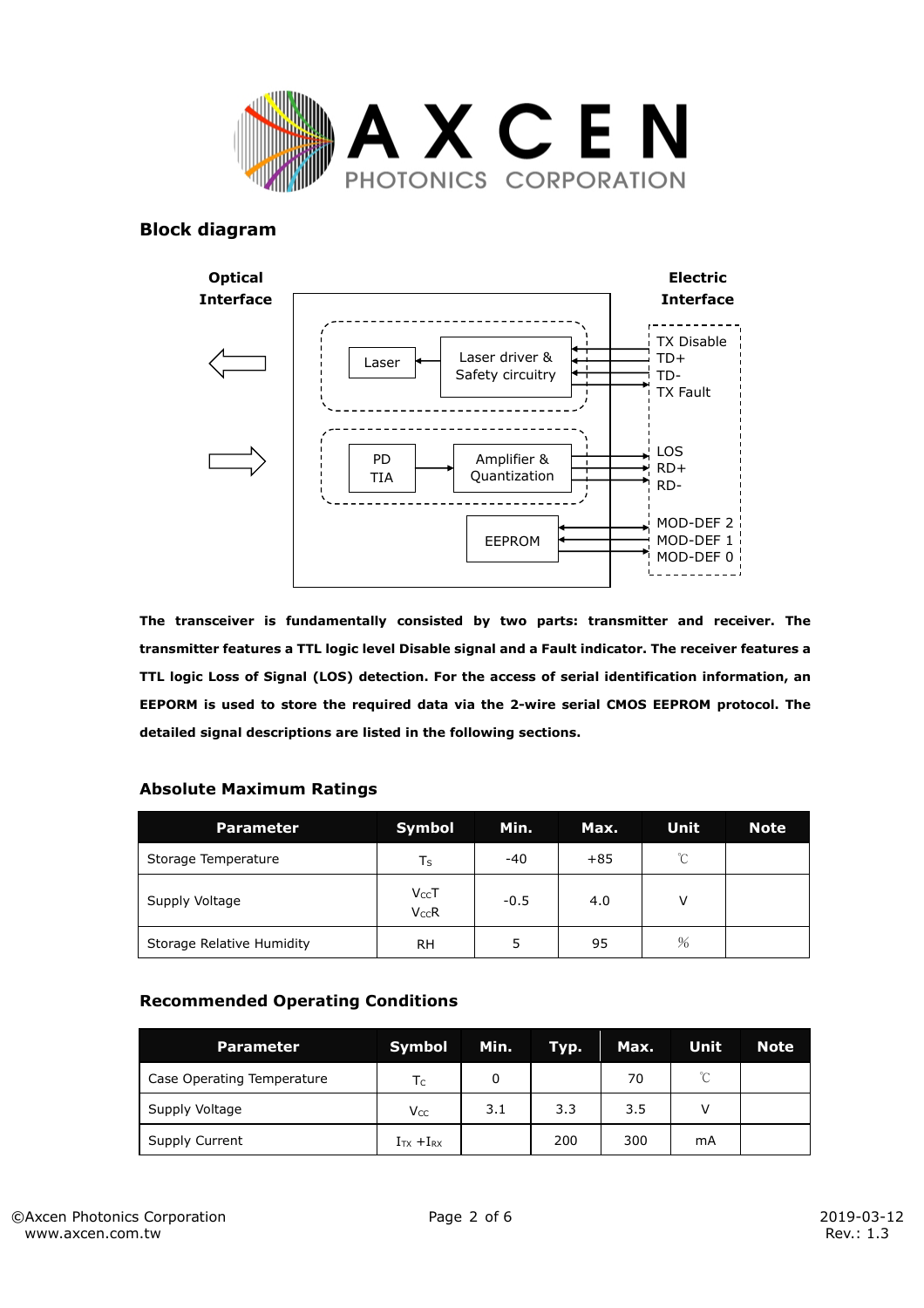

## **Block diagram**



**The transceiver is fundamentally consisted by two parts: transmitter and receiver. The transmitter features a TTL logic level Disable signal and a Fault indicator. The receiver features a TTL logic Loss of Signal (LOS) detection. For the access of serial identification information, an EEPORM is used to store the required data via the 2-wire serial CMOS EEPROM protocol. The detailed signal descriptions are listed in the following sections.** 

### **Absolute Maximum Ratings**

| <b>Parameter</b>          | <b>Symbol</b>          | Min.   | Max.  | Unit          | <b>Note</b> |
|---------------------------|------------------------|--------|-------|---------------|-------------|
| Storage Temperature       | Ts                     | $-40$  | $+85$ | $^{\circ}C$   |             |
| Supply Voltage            | $V_{CC}T$<br>$V_{CC}R$ | $-0.5$ | 4.0   | v             |             |
| Storage Relative Humidity | RH                     |        | 95    | $\frac{0}{6}$ |             |

### **Recommended Operating Conditions**

| <b>Parameter</b>           | Symbol                 | Min. | Typ. | Max. | Unit         | <b>Note</b> |
|----------------------------|------------------------|------|------|------|--------------|-------------|
| Case Operating Temperature | $T_{C}$                | 0    |      | 70   | $^{\circ}$ C |             |
| Supply Voltage             | <b>V</b> <sub>cc</sub> | 3.1  | 3.3  | 3.5  |              |             |
| Supply Current             | $ITX + IRX$            |      | 200  | 300  | mA           |             |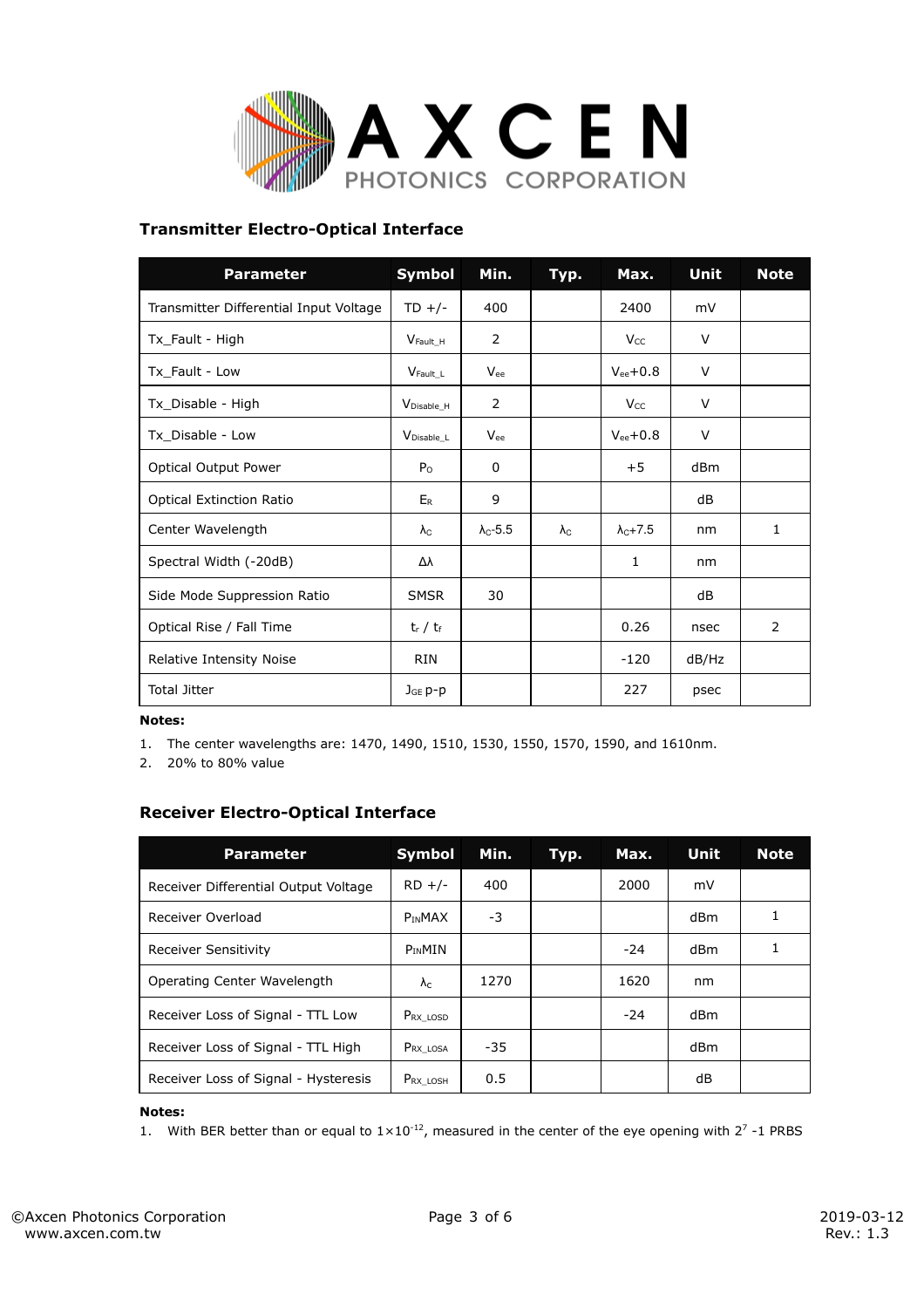

## **Transmitter Electro-Optical Interface**

| <b>Parameter</b>                       | <b>Symbol</b>          | Min.                   | Typ.              | Max.                        | Unit  | <b>Note</b> |
|----------------------------------------|------------------------|------------------------|-------------------|-----------------------------|-------|-------------|
| Transmitter Differential Input Voltage | $TD$ +/-               | 400                    |                   | 2400                        | mV    |             |
| Tx_Fault - High                        | $V_{\text{Fault H}}$   | 2                      |                   | V <sub>cc</sub>             | V     |             |
| Tx Fault - Low                         | $V$ Fault L            | Vee                    |                   | $V_{ee}$ +0.8               | V     |             |
| Tx_Disable - High                      | V <sub>Disable_H</sub> | 2                      |                   | $V_{CC}$                    | V     |             |
| Tx Disable - Low                       | V <sub>Disable</sub> L | Vee                    |                   | $V_{ee}$ +0.8               | V     |             |
| Optical Output Power                   | P <sub>O</sub>         | 0                      |                   | $+5$                        | dBm   |             |
| <b>Optical Extinction Ratio</b>        | ER                     | 9                      |                   |                             | dB    |             |
| Center Wavelength                      | $\lambda_{\rm C}$      | $\lambda_{\rm C}$ -5.5 | $\lambda_{\rm C}$ | $\lambda$ <sub>C</sub> +7.5 | nm    | 1           |
| Spectral Width (-20dB)                 | Δλ                     |                        |                   | 1                           | nm    |             |
| Side Mode Suppression Ratio            | <b>SMSR</b>            | 30                     |                   |                             | dB    |             |
| Optical Rise / Fall Time               | $t_r / t_f$            |                        |                   | 0.26                        | nsec  | 2           |
| Relative Intensity Noise               | <b>RIN</b>             |                        |                   | $-120$                      | dB/Hz |             |
| <b>Total Jitter</b>                    | $JGE p-p$              |                        |                   | 227                         | psec  |             |

### **Notes:**

1. The center wavelengths are: 1470, 1490, 1510, 1530, 1550, 1570, 1590, and 1610nm.

2. 20% to 80% value

## **Receiver Electro-Optical Interface**

| <b>Parameter</b>                     | <b>Symbol</b>        | Min. | Typ. | Max.  | Unit | <b>Note</b> |
|--------------------------------------|----------------------|------|------|-------|------|-------------|
| Receiver Differential Output Voltage | $RD +/-$             | 400  |      | 2000  | mV   |             |
| Receiver Overload                    | <b>PINMAX</b>        | -3   |      |       | dBm  |             |
| Receiver Sensitivity                 | $P_{IN}$ MIN         |      |      | $-24$ | dBm  |             |
| Operating Center Wavelength          | $\lambda_{\rm C}$    | 1270 |      | 1620  | nm   |             |
| Receiver Loss of Signal - TTL Low    | $P_{RX\text{ LOSD}}$ |      |      | $-24$ | dBm  |             |
| Receiver Loss of Signal - TTL High   | Prx_losa             | -35  |      |       | dBm  |             |
| Receiver Loss of Signal - Hysteresis | PRX LOSH             | 0.5  |      |       | dB   |             |

### **Notes:**

1. With BER better than or equal to  $1 \times 10^{-12}$ , measured in the center of the eye opening with 2<sup>7</sup> -1 PRBS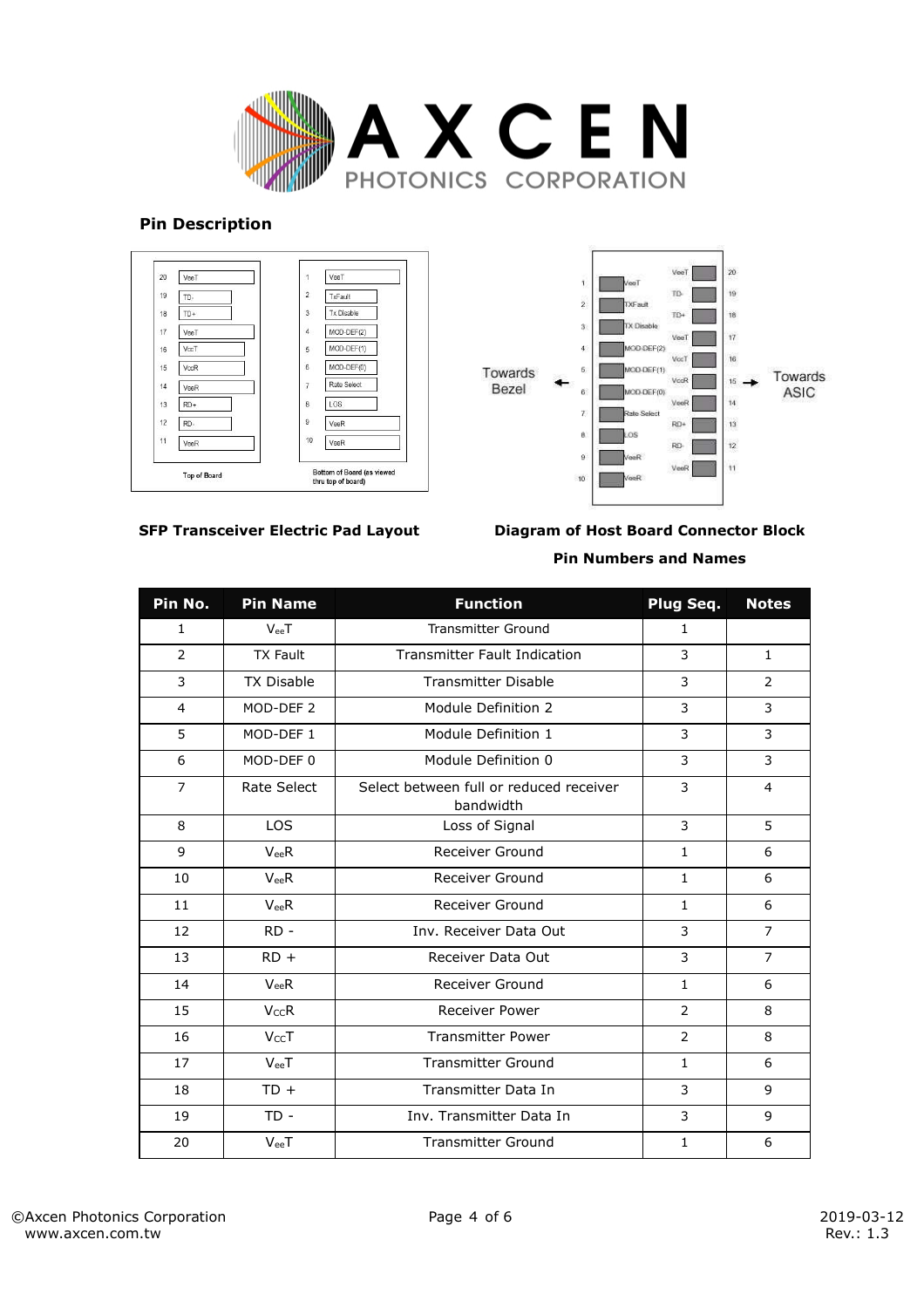

### **Pin Description**





**SFP Transceiver Electric Pad Layout**

**Diagram of Host Board Connector Block Pin Numbers and Names** 

| Pin No.        | <b>Pin Name</b>      | <b>Function</b>                                      | Plug Seq.      | <b>Notes</b>   |
|----------------|----------------------|------------------------------------------------------|----------------|----------------|
| 1              | $V_{ee}T$            | <b>Transmitter Ground</b>                            | $\mathbf{1}$   |                |
| $\overline{2}$ | <b>TX Fault</b>      | <b>Transmitter Fault Indication</b>                  | 3              | $\mathbf{1}$   |
| 3              | <b>TX Disable</b>    | <b>Transmitter Disable</b>                           | 3              | $\overline{2}$ |
| 4              | MOD-DEF <sub>2</sub> | Module Definition 2                                  | 3              | 3              |
| 5              | MOD-DEF 1            | Module Definition 1                                  | 3              | 3              |
| 6              | MOD-DEF 0            | Module Definition 0                                  | 3              | 3              |
| $\overline{7}$ | Rate Select          | Select between full or reduced receiver<br>bandwidth | 3              | $\overline{4}$ |
| 8              | <b>LOS</b>           | Loss of Signal                                       | 3              | 5              |
| 9              | $V_{ee}R$            | Receiver Ground                                      | $\mathbf{1}$   | 6              |
| 10             | $V_{ee}R$            | <b>Receiver Ground</b>                               | $\mathbf{1}$   | 6              |
| 11             | $V_{ee}R$            | Receiver Ground                                      | $\mathbf{1}$   | 6              |
| 12             | $RD -$               | Inv. Receiver Data Out                               | 3              | $\overline{7}$ |
| 13             | $RD +$               | Receiver Data Out                                    | 3              | $\overline{7}$ |
| 14             | $V_{ee}R$            | <b>Receiver Ground</b>                               | $\mathbf{1}$   | 6              |
| 15             | <b>VccR</b>          | <b>Receiver Power</b>                                | $\overline{2}$ | 8              |
| 16             | VccT                 | <b>Transmitter Power</b>                             | $\overline{2}$ | 8              |
| 17             | $V_{ee}T$            | <b>Transmitter Ground</b>                            | $\mathbf{1}$   | 6              |
| 18             | $TD +$               | Transmitter Data In                                  | 3              | 9              |
| 19             | $TD -$               | Inv. Transmitter Data In                             | 3              | 9              |
| 20             | $V_{ee}T$            | <b>Transmitter Ground</b>                            | $\mathbf{1}$   | 6              |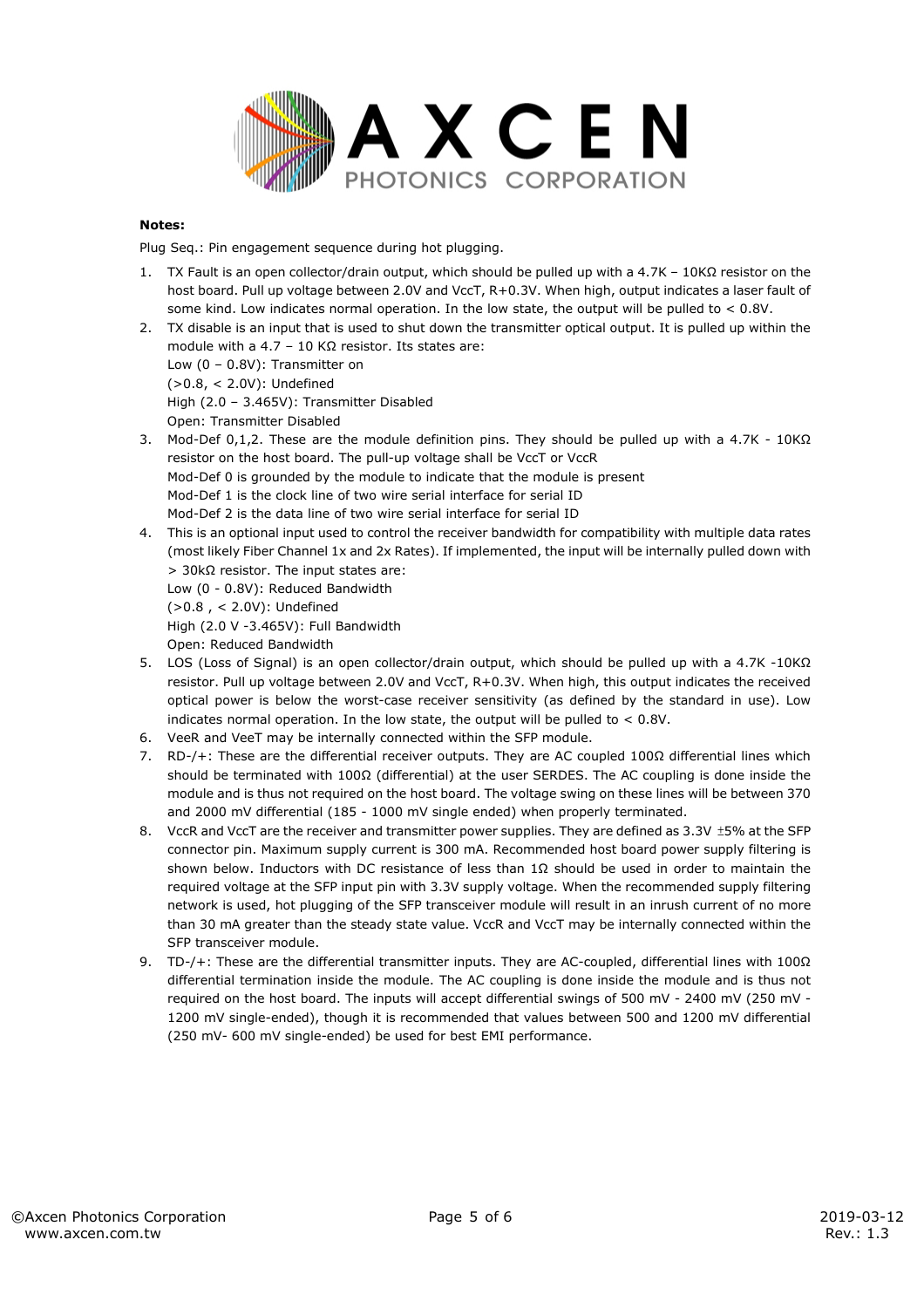

### **Notes:**

Plug Seq.: Pin engagement sequence during hot plugging.

- 1. TX Fault is an open collector/drain output, which should be pulled up with a 4.7K 10KΩ resistor on the host board. Pull up voltage between 2.0V and VccT, R+0.3V. When high, output indicates a laser fault of some kind. Low indicates normal operation. In the low state, the output will be pulled to  $< 0.8V$ .
- 2. TX disable is an input that is used to shut down the transmitter optical output. It is pulled up within the module with a 4.7 – 10 KΩ resistor. Its states are: Low (0 – 0.8V): Transmitter on (>0.8, < 2.0V): Undefined High (2.0 – 3.465V): Transmitter Disabled
	- Open: Transmitter Disabled
- 3. Mod-Def 0,1,2. These are the module definition pins. They should be pulled up with a 4.7K 10KΩ resistor on the host board. The pull-up voltage shall be VccT or VccR Mod-Def 0 is grounded by the module to indicate that the module is present Mod-Def 1 is the clock line of two wire serial interface for serial ID Mod-Def 2 is the data line of two wire serial interface for serial ID
- 4. This is an optional input used to control the receiver bandwidth for compatibility with multiple data rates (most likely Fiber Channel 1x and 2x Rates). If implemented, the input will be internally pulled down with > 30kΩ resistor. The input states are: Low (0 - 0.8V): Reduced Bandwidth (>0.8 , < 2.0V): Undefined High (2.0 V -3.465V): Full Bandwidth

Open: Reduced Bandwidth

- 5. LOS (Loss of Signal) is an open collector/drain output, which should be pulled up with a 4.7K -10KΩ resistor. Pull up voltage between 2.0V and VccT, R+0.3V. When high, this output indicates the received optical power is below the worst-case receiver sensitivity (as defined by the standard in use). Low indicates normal operation. In the low state, the output will be pulled to  $< 0.8V$ .
- 6. VeeR and VeeT may be internally connected within the SFP module.
- 7. RD-/+: These are the differential receiver outputs. They are AC coupled 100Ω differential lines which should be terminated with 100Ω (differential) at the user SERDES. The AC coupling is done inside the module and is thus not required on the host board. The voltage swing on these lines will be between 370 and 2000 mV differential (185 - 1000 mV single ended) when properly terminated.
- 8. VccR and VccT are the receiver and transmitter power supplies. They are defined as 3.3V ±5% at the SFP connector pin. Maximum supply current is 300 mA. Recommended host board power supply filtering is shown below. Inductors with DC resistance of less than 1Ω should be used in order to maintain the required voltage at the SFP input pin with 3.3V supply voltage. When the recommended supply filtering network is used, hot plugging of the SFP transceiver module will result in an inrush current of no more than 30 mA greater than the steady state value. VccR and VccT may be internally connected within the SFP transceiver module.
- 9. TD-/+: These are the differential transmitter inputs. They are AC-coupled, differential lines with 100Ω differential termination inside the module. The AC coupling is done inside the module and is thus not required on the host board. The inputs will accept differential swings of 500 mV - 2400 mV (250 mV - 1200 mV single-ended), though it is recommended that values between 500 and 1200 mV differential (250 mV- 600 mV single-ended) be used for best EMI performance.